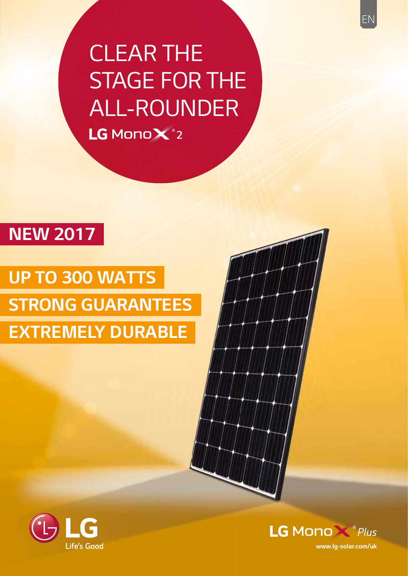# *CLEAR THE STAGE FOR THE*  ALL-ROUNDER LG MonoX<sup>2</sup>2

## *NEW 2017*

## *UP TO 300 WATTS STRONG GUARANTEES EXTREMELY DURABLE*





*www.lg-solar.com/uk*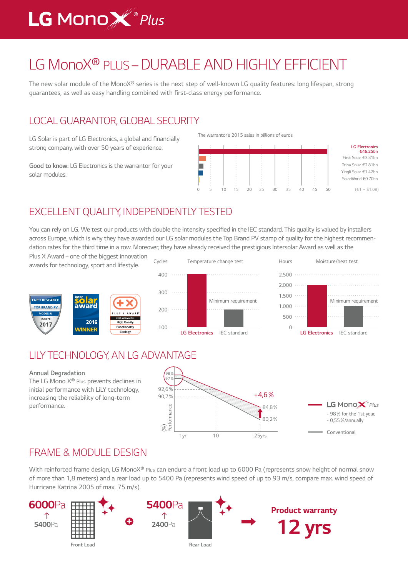## **LG Mono W**<sup>®</sup> Plus

## *LG MonoX® PLUS – DURABLE AND HIGHLY EFFICIENT*

The new solar module of the MonoX® series is the next step of well-known LG quality features: long lifespan, strong guarantees, as well as easy handling combined with first-class energy performance.

### *LOCAL GUARANTOR, GLOBAL SECURITY*

LG Solar is part of LG Electronics, a global and financially *strong company, with over 50 years of experience.* 

*Good to know: LG Electronics is the warrantor for your solar modules.*

*The warrantor's 2015 sales in billions of euros* 



## *EXCELLENT QUALITY, INDEPENDENTLY TESTED*

You can rely on LG. We test our products with double the intensity specified in the IEC standard. This quality is valued by installers across Europe, which is why they have awarded our LG solar modules the Top Brand PV stamp of quality for the highest recommendation rates for the third time in a row. Moreover, they have already received the prestigious Intersolar Award as well as the

Plus X Award – one of the biggest innovation *awards for technology, sport and lifestyle.*







### *LILY TECHNOLOGY, AN LG ADVANTAGE*

*Annual Degradation*  $98<sub>6</sub>$ 97% *The LG Mono X® Plus prevents declines in*  92,6% *initial performance with LiLY technology,* +4,6% 90,7% increasing the reliability of long-term  $LG$  Mono $X^{\circ}$ Plus (%) *Performance performance.84,8*% - 98% for the 1st year, 80,2% - 0,55%/annually *Conventional 1yr 10 25yrs*

### *FRAME & MODULE DESIGN*

*With reinforced frame design, LG MonoX® Plus can endure a front load up to 6000 Pa (represents snow height of normal snow of more than 1,8 meters) and a rear load up to 5400 Pa (represents wind speed of up to 93 m/s, compare max. wind speed of Hurricane Katrina 2005 of max. 75 m/s).*

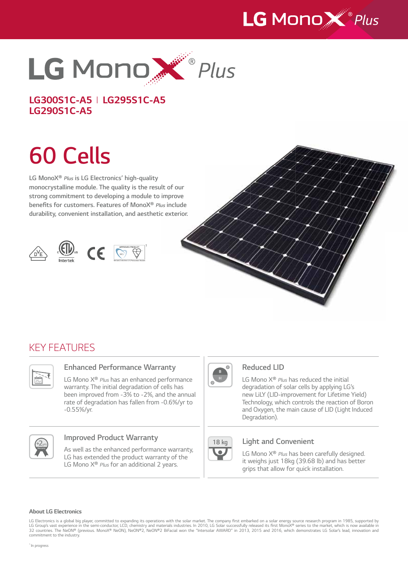



*LG300S1C-A5 I LG295S1C-A5 LG290S1C-A5*

# *60 Cells*

*LG MonoX® Plus* **is LG Electronics' high-quality monocrystalline module. The quality is the result of our**  *strong commitment to developing a module to improve*  **benefits for customers. Features of MonoX®** *Plus* **include durability, convenient installation, and aesthetic exterior.**









### *KEY FEATURES*



#### **Enhanced Performance Warranty**

*LG Mono X® Plus has an enhanced performance warranty. The initial degradation of cells has*  been improved from -3% to -2%, and the annual rate of degradation has fallen from -0.6%/yr to -0.55%/yr.



#### **Improved Product Warranty**

*As well as the enhanced performance warranty, LG has extended the product warranty of the LG Mono X® Plus for an additional 2 years.*



#### *Reduced LID*

*LG Mono X® Plus has reduced the initial degradation of solar cells by applying LG's*  new LiLY (LID-improvement for Lifetime Yield) *Technology, which controls the reaction of Boron and Oxygen, the main cause of LID (Light Induced Degradation).*



#### *Light and Convenient*

*LG Mono X® Plus has been carefully designed. it weighs just 18kg (39.68 lb) and has better*  grips that allow for quick installation.

#### *About LG Electronics*

LG Electronics is a global big player, committed to expanding its operations with the solar market. The company first embarked on a solar energy source research program in 1985, supported by LG Group's vast experience in the semi-conductor, LCD, chemistry and materials industries. In 2010, LG Solar successfully released its first MonoX® series to the market, which is now available in<br>32 countries. The NeON® ( *commitment to the industry.*